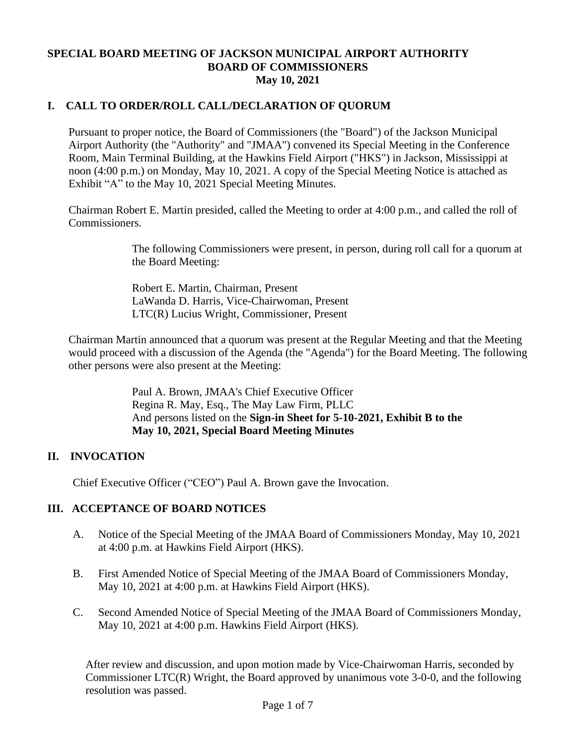## **SPECIAL BOARD MEETING OF JACKSON MUNICIPAL AIRPORT AUTHORITY BOARD OF COMMISSIONERS May 10, 2021**

# **I. CALL TO ORDER/ROLL CALL/DECLARATION OF QUORUM**

Pursuant to proper notice, the Board of Commissioners (the "Board") of the Jackson Municipal Airport Authority (the "Authority" and "JMAA") convened its Special Meeting in the Conference Room, Main Terminal Building, at the Hawkins Field Airport ("HKS") in Jackson, Mississippi at noon (4:00 p.m.) on Monday, May 10, 2021. A copy of the Special Meeting Notice is attached as Exhibit "A" to the May 10, 2021 Special Meeting Minutes.

Chairman Robert E. Martin presided, called the Meeting to order at 4:00 p.m., and called the roll of Commissioners.

> The following Commissioners were present, in person, during roll call for a quorum at the Board Meeting:

Robert E. Martin, Chairman, Present LaWanda D. Harris, Vice-Chairwoman, Present LTC(R) Lucius Wright, Commissioner, Present

Chairman Martin announced that a quorum was present at the Regular Meeting and that the Meeting would proceed with a discussion of the Agenda (the "Agenda") for the Board Meeting. The following other persons were also present at the Meeting:

> Paul A. Brown, JMAA's Chief Executive Officer Regina R. May, Esq., The May Law Firm, PLLC And persons listed on the **Sign-in Sheet for 5-10-2021, Exhibit B to the May 10, 2021, Special Board Meeting Minutes**

## **II. INVOCATION**

Chief Executive Officer ("CEO") Paul A. Brown gave the Invocation.

## **III. ACCEPTANCE OF BOARD NOTICES**

- A. Notice of the Special Meeting of the JMAA Board of Commissioners Monday, May 10, 2021 at 4:00 p.m. at Hawkins Field Airport (HKS).
- B. First Amended Notice of Special Meeting of the JMAA Board of Commissioners Monday, May 10, 2021 at 4:00 p.m. at Hawkins Field Airport (HKS).
- C. Second Amended Notice of Special Meeting of the JMAA Board of Commissioners Monday, May 10, 2021 at 4:00 p.m. Hawkins Field Airport (HKS).

After review and discussion, and upon motion made by Vice-Chairwoman Harris, seconded by Commissioner LTC(R) Wright, the Board approved by unanimous vote 3-0-0, and the following resolution was passed.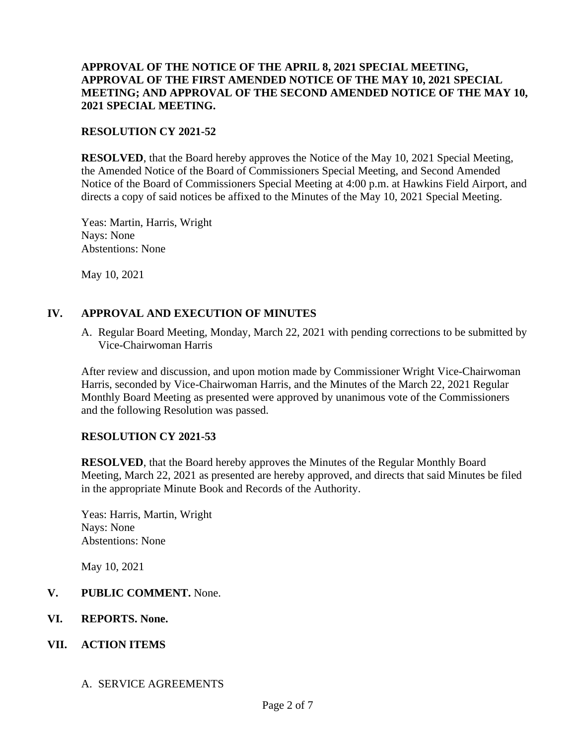### **APPROVAL OF THE NOTICE OF THE APRIL 8, 2021 SPECIAL MEETING, APPROVAL OF THE FIRST AMENDED NOTICE OF THE MAY 10, 2021 SPECIAL MEETING; AND APPROVAL OF THE SECOND AMENDED NOTICE OF THE MAY 10, 2021 SPECIAL MEETING.**

#### **RESOLUTION CY 2021-52**

**RESOLVED**, that the Board hereby approves the Notice of the May 10, 2021 Special Meeting, the Amended Notice of the Board of Commissioners Special Meeting, and Second Amended Notice of the Board of Commissioners Special Meeting at 4:00 p.m. at Hawkins Field Airport, and directs a copy of said notices be affixed to the Minutes of the May 10, 2021 Special Meeting.

Yeas: Martin, Harris, Wright Nays: None Abstentions: None

May 10, 2021

### **IV. APPROVAL AND EXECUTION OF MINUTES**

A. Regular Board Meeting, Monday, March 22, 2021 with pending corrections to be submitted by Vice-Chairwoman Harris

After review and discussion, and upon motion made by Commissioner Wright Vice-Chairwoman Harris, seconded by Vice-Chairwoman Harris, and the Minutes of the March 22, 2021 Regular Monthly Board Meeting as presented were approved by unanimous vote of the Commissioners and the following Resolution was passed.

#### **RESOLUTION CY 2021-53**

**RESOLVED**, that the Board hereby approves the Minutes of the Regular Monthly Board Meeting, March 22, 2021 as presented are hereby approved, and directs that said Minutes be filed in the appropriate Minute Book and Records of the Authority.

Yeas: Harris, Martin, Wright Nays: None Abstentions: None

May 10, 2021

## **V. PUBLIC COMMENT.** None.

**VI. REPORTS. None.**

## **VII. ACTION ITEMS**

#### A. SERVICE AGREEMENTS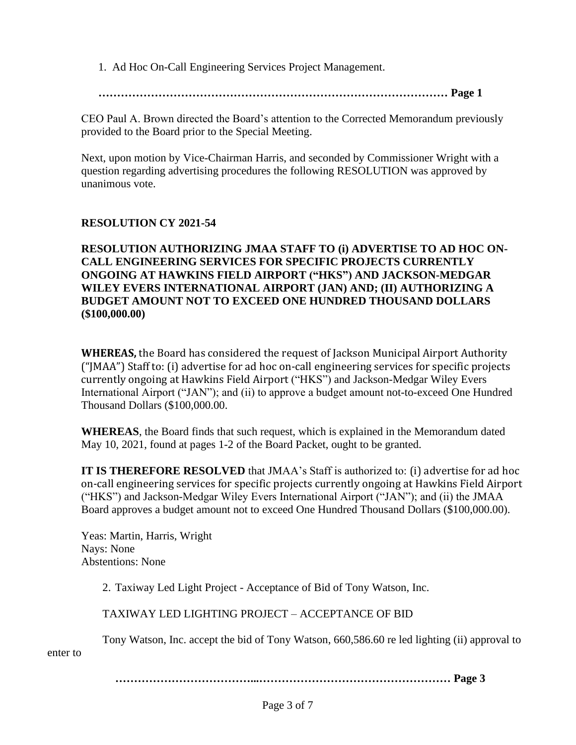1. Ad Hoc On-Call Engineering Services Project Management.

**………………………………………………………………………………… Page 1**

CEO Paul A. Brown directed the Board's attention to the Corrected Memorandum previously provided to the Board prior to the Special Meeting.

Next, upon motion by Vice-Chairman Harris, and seconded by Commissioner Wright with a question regarding advertising procedures the following RESOLUTION was approved by unanimous vote.

### **RESOLUTION CY 2021-54**

**RESOLUTION AUTHORIZING JMAA STAFF TO (i) ADVERTISE TO AD HOC ON-CALL ENGINEERING SERVICES FOR SPECIFIC PROJECTS CURRENTLY ONGOING AT HAWKINS FIELD AIRPORT ("HKS") AND JACKSON-MEDGAR WILEY EVERS INTERNATIONAL AIRPORT (JAN) AND; (II) AUTHORIZING A BUDGET AMOUNT NOT TO EXCEED ONE HUNDRED THOUSAND DOLLARS (\$100,000.00)**

**WHEREAS,** the Board has considered the request of Jackson Municipal Airport Authority ("JMAA") Staff to: (i) advertise for ad hoc on-call engineering services for specific projects currently ongoing at Hawkins Field Airport ("HKS") and Jackson-Medgar Wiley Evers International Airport ("JAN"); and (ii) to approve a budget amount not-to-exceed One Hundred Thousand Dollars (\$100,000.00.

**WHEREAS**, the Board finds that such request, which is explained in the Memorandum dated May 10, 2021, found at pages 1-2 of the Board Packet, ought to be granted.

**IT IS THEREFORE RESOLVED** that JMAA's Staff is authorized to: (i) advertise for ad hoc on-call engineering services for specific projects currently ongoing at Hawkins Field Airport ("HKS") and Jackson-Medgar Wiley Evers International Airport ("JAN"); and (ii) the JMAA Board approves a budget amount not to exceed One Hundred Thousand Dollars (\$100,000.00).

Yeas: Martin, Harris, Wright Nays: None Abstentions: None

2. Taxiway Led Light Project - Acceptance of Bid of Tony Watson, Inc.

TAXIWAY LED LIGHTING PROJECT – ACCEPTANCE OF BID

Tony Watson, Inc. accept the bid of Tony Watson, 660,586.60 re led lighting (ii) approval to

enter to

**………………………………...…………………………………………… Page 3**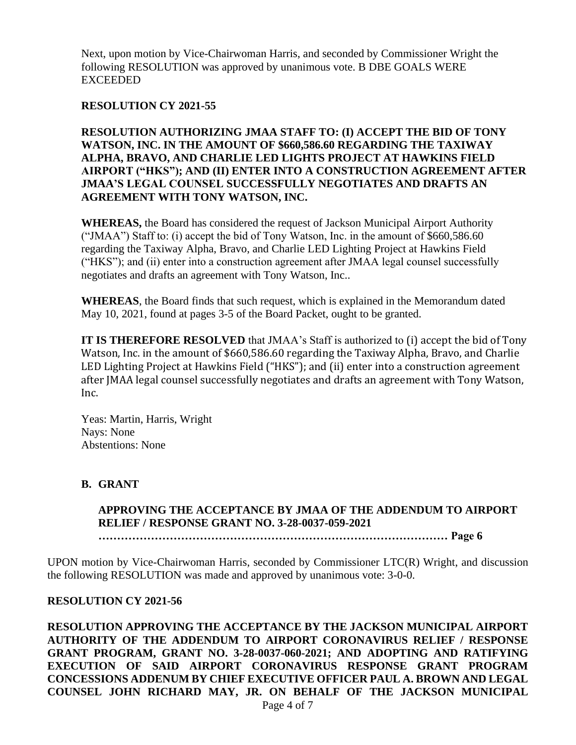Next, upon motion by Vice-Chairwoman Harris, and seconded by Commissioner Wright the following RESOLUTION was approved by unanimous vote. B DBE GOALS WERE EXCEEDED

### **RESOLUTION CY 2021-55**

**RESOLUTION AUTHORIZING JMAA STAFF TO: (I) ACCEPT THE BID OF TONY WATSON, INC. IN THE AMOUNT OF \$660,586.60 REGARDING THE TAXIWAY ALPHA, BRAVO, AND CHARLIE LED LIGHTS PROJECT AT HAWKINS FIELD AIRPORT ("HKS"); AND (II) ENTER INTO A CONSTRUCTION AGREEMENT AFTER JMAA'S LEGAL COUNSEL SUCCESSFULLY NEGOTIATES AND DRAFTS AN AGREEMENT WITH TONY WATSON, INC.** 

**WHEREAS,** the Board has considered the request of Jackson Municipal Airport Authority ("JMAA") Staff to: (i) accept the bid of Tony Watson, Inc. in the amount of \$660,586.60 regarding the Taxiway Alpha, Bravo, and Charlie LED Lighting Project at Hawkins Field ("HKS"); and (ii) enter into a construction agreement after JMAA legal counsel successfully negotiates and drafts an agreement with Tony Watson, Inc..

**WHEREAS**, the Board finds that such request, which is explained in the Memorandum dated May 10, 2021, found at pages 3-5 of the Board Packet, ought to be granted.

**IT IS THEREFORE RESOLVED** that JMAA's Staff is authorized to (i) accept the bid of Tony Watson, Inc. in the amount of \$660,586.60 regarding the Taxiway Alpha, Bravo, and Charlie LED Lighting Project at Hawkins Field ("HKS"); and (ii) enter into a construction agreement after JMAA legal counsel successfully negotiates and drafts an agreement with Tony Watson, Inc.

Yeas: Martin, Harris, Wright Nays: None Abstentions: None

#### **B. GRANT**

**APPROVING THE ACCEPTANCE BY JMAA OF THE ADDENDUM TO AIRPORT RELIEF / RESPONSE GRANT NO. 3-28-0037-059-2021**

**………………………………………………………………………………… Page 6**

UPON motion by Vice-Chairwoman Harris, seconded by Commissioner LTC(R) Wright, and discussion the following RESOLUTION was made and approved by unanimous vote: 3-0-0.

#### **RESOLUTION CY 2021-56**

**RESOLUTION APPROVING THE ACCEPTANCE BY THE JACKSON MUNICIPAL AIRPORT AUTHORITY OF THE ADDENDUM TO AIRPORT CORONAVIRUS RELIEF / RESPONSE GRANT PROGRAM, GRANT NO. 3-28-0037-060-2021; AND ADOPTING AND RATIFYING EXECUTION OF SAID AIRPORT CORONAVIRUS RESPONSE GRANT PROGRAM CONCESSIONS ADDENUM BY CHIEF EXECUTIVE OFFICER PAUL A. BROWN AND LEGAL COUNSEL JOHN RICHARD MAY, JR. ON BEHALF OF THE JACKSON MUNICIPAL**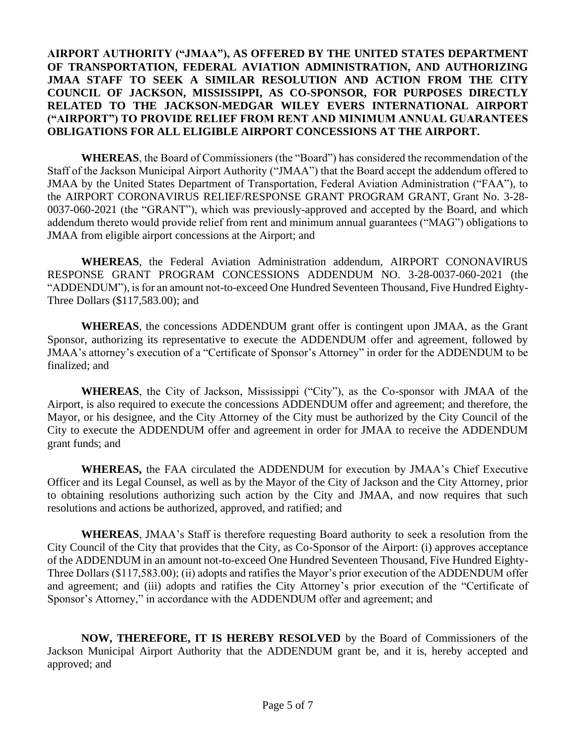### **AIRPORT AUTHORITY ("JMAA"), AS OFFERED BY THE UNITED STATES DEPARTMENT OF TRANSPORTATION, FEDERAL AVIATION ADMINISTRATION, AND AUTHORIZING JMAA STAFF TO SEEK A SIMILAR RESOLUTION AND ACTION FROM THE CITY COUNCIL OF JACKSON, MISSISSIPPI, AS CO-SPONSOR, FOR PURPOSES DIRECTLY RELATED TO THE JACKSON-MEDGAR WILEY EVERS INTERNATIONAL AIRPORT ("AIRPORT") TO PROVIDE RELIEF FROM RENT AND MINIMUM ANNUAL GUARANTEES OBLIGATIONS FOR ALL ELIGIBLE AIRPORT CONCESSIONS AT THE AIRPORT.**

**WHEREAS**, the Board of Commissioners (the "Board") has considered the recommendation of the Staff of the Jackson Municipal Airport Authority ("JMAA") that the Board accept the addendum offered to JMAA by the United States Department of Transportation, Federal Aviation Administration ("FAA"), to the AIRPORT CORONAVIRUS RELIEF/RESPONSE GRANT PROGRAM GRANT, Grant No. 3-28- 0037-060-2021 (the "GRANT"), which was previously-approved and accepted by the Board, and which addendum thereto would provide relief from rent and minimum annual guarantees ("MAG") obligations to JMAA from eligible airport concessions at the Airport; and

**WHEREAS**, the Federal Aviation Administration addendum, AIRPORT CONONAVIRUS RESPONSE GRANT PROGRAM CONCESSIONS ADDENDUM NO. 3-28-0037-060-2021 (the "ADDENDUM"), is for an amount not-to-exceed One Hundred Seventeen Thousand, Five Hundred Eighty-Three Dollars (\$117,583.00); and

**WHEREAS**, the concessions ADDENDUM grant offer is contingent upon JMAA, as the Grant Sponsor, authorizing its representative to execute the ADDENDUM offer and agreement, followed by JMAA's attorney's execution of a "Certificate of Sponsor's Attorney" in order for the ADDENDUM to be finalized; and

**WHEREAS**, the City of Jackson, Mississippi ("City"), as the Co-sponsor with JMAA of the Airport, is also required to execute the concessions ADDENDUM offer and agreement; and therefore, the Mayor, or his designee, and the City Attorney of the City must be authorized by the City Council of the City to execute the ADDENDUM offer and agreement in order for JMAA to receive the ADDENDUM grant funds; and

**WHEREAS,** the FAA circulated the ADDENDUM for execution by JMAA's Chief Executive Officer and its Legal Counsel, as well as by the Mayor of the City of Jackson and the City Attorney, prior to obtaining resolutions authorizing such action by the City and JMAA, and now requires that such resolutions and actions be authorized, approved, and ratified; and

**WHEREAS**, JMAA's Staff is therefore requesting Board authority to seek a resolution from the City Council of the City that provides that the City, as Co-Sponsor of the Airport: (i) approves acceptance of the ADDENDUM in an amount not-to-exceed One Hundred Seventeen Thousand, Five Hundred Eighty-Three Dollars (\$117,583.00); (ii) adopts and ratifies the Mayor's prior execution of the ADDENDUM offer and agreement; and (iii) adopts and ratifies the City Attorney's prior execution of the "Certificate of Sponsor's Attorney," in accordance with the ADDENDUM offer and agreement; and

**NOW, THEREFORE, IT IS HEREBY RESOLVED** by the Board of Commissioners of the Jackson Municipal Airport Authority that the ADDENDUM grant be, and it is, hereby accepted and approved; and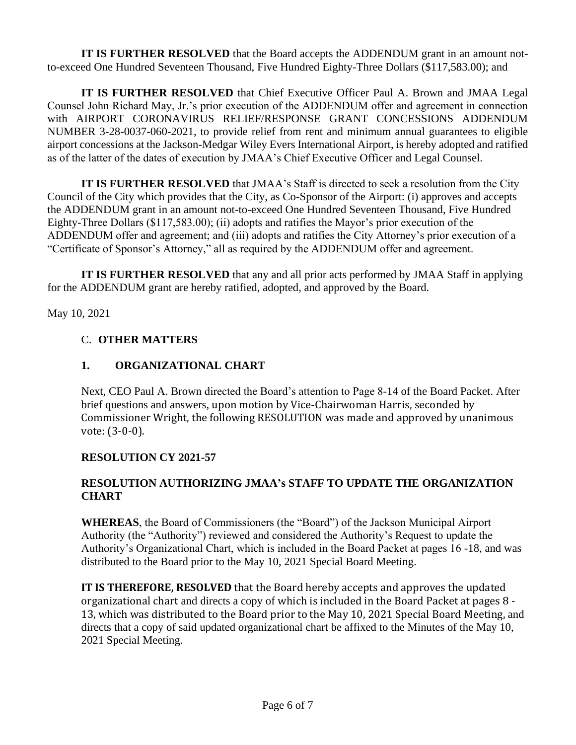**IT IS FURTHER RESOLVED** that the Board accepts the ADDENDUM grant in an amount notto-exceed One Hundred Seventeen Thousand, Five Hundred Eighty-Three Dollars (\$117,583.00); and

**IT IS FURTHER RESOLVED** that Chief Executive Officer Paul A. Brown and JMAA Legal Counsel John Richard May, Jr.'s prior execution of the ADDENDUM offer and agreement in connection with AIRPORT CORONAVIRUS RELIEF/RESPONSE GRANT CONCESSIONS ADDENDUM NUMBER 3-28-0037-060-2021, to provide relief from rent and minimum annual guarantees to eligible airport concessions at the Jackson-Medgar Wiley Evers International Airport, is hereby adopted and ratified as of the latter of the dates of execution by JMAA's Chief Executive Officer and Legal Counsel.

**IT IS FURTHER RESOLVED** that JMAA's Staff is directed to seek a resolution from the City Council of the City which provides that the City, as Co-Sponsor of the Airport: (i) approves and accepts the ADDENDUM grant in an amount not-to-exceed One Hundred Seventeen Thousand, Five Hundred Eighty-Three Dollars (\$117,583.00); (ii) adopts and ratifies the Mayor's prior execution of the ADDENDUM offer and agreement; and (iii) adopts and ratifies the City Attorney's prior execution of a "Certificate of Sponsor's Attorney," all as required by the ADDENDUM offer and agreement.

**IT IS FURTHER RESOLVED** that any and all prior acts performed by JMAA Staff in applying for the ADDENDUM grant are hereby ratified, adopted, and approved by the Board.

May 10, 2021

# C. **OTHER MATTERS**

# **1. ORGANIZATIONAL CHART**

Next, CEO Paul A. Brown directed the Board's attention to Page 8-14 of the Board Packet. After brief questions and answers, upon motion by Vice-Chairwoman Harris, seconded by Commissioner Wright, the following RESOLUTION was made and approved by unanimous vote: (3-0-0).

# **RESOLUTION CY 2021-57**

# **RESOLUTION AUTHORIZING JMAA's STAFF TO UPDATE THE ORGANIZATION CHART**

**WHEREAS**, the Board of Commissioners (the "Board") of the Jackson Municipal Airport Authority (the "Authority") reviewed and considered the Authority's Request to update the Authority's Organizational Chart, which is included in the Board Packet at pages 16 -18, and was distributed to the Board prior to the May 10, 2021 Special Board Meeting.

**IT IS THEREFORE, RESOLVED** that the Board hereby accepts and approves the updated organizational chart and directs a copy of which is included in the Board Packet at pages 8 - 13, which was distributed to the Board prior to the May 10, 2021 Special Board Meeting, and directs that a copy of said updated organizational chart be affixed to the Minutes of the May 10, 2021 Special Meeting.